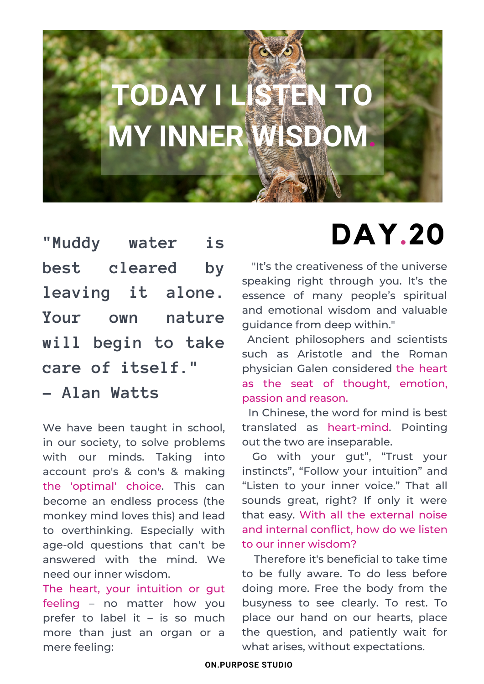# **TODAY I LISTEN TO MY INNER WISDOM.**

**"Muddy water is best cleared by leaving it alone. Your own nature will begin to take care of itself."**

**- Alan Watts**

We have been taught in school, in our society, to solve problems with our minds. Taking into account pro's & con's & making the 'optimal' choice. This can become an endless process (the monkey mind loves this) and lead to overthinking. Especially with age-old questions that can't be answered with the mind. We need our inner wisdom.

The heart, your intuition or gut feeling – no matter how you prefer to label it – is so much more than just an organ or a mere feeling:

## **DAY.20**

"It's the creativeness of the universe speaking right through you. It's the essence of many people's spiritual and emotional wisdom and valuable guidance from deep within."

Ancient philosophers and scientists such as Aristotle and the Roman physician Galen considered the heart as the seat of thought, emotion, passion and reason.

In Chinese, the word for mind is best translated as heart-mind. Pointing out the two are inseparable.

Go with your gut", "Trust your instincts", "Follow your intuition" and "Listen to your inner voice." That all sounds great, right? If only it were that easy. With all the external noise and internal conflict, how do we listen to our inner wisdom?

Therefore it's beneficial to take time to be fully aware. To do less before doing more. Free the body from the busyness to see clearly. To rest. To place our hand on our hearts, place the question, and patiently wait for what arises, without expectations.